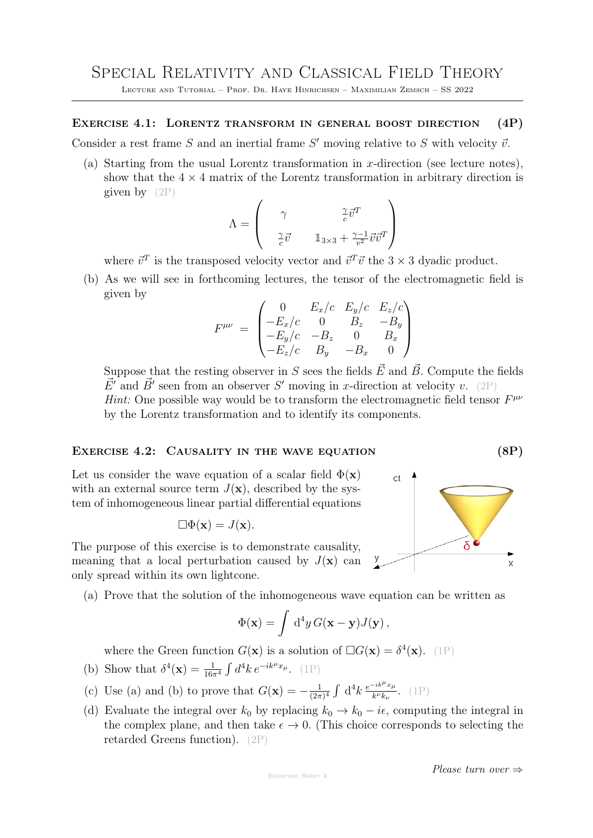Lecture and Tutorial – Prof. Dr. Haye Hinrichsen – Maximilian Zemsch – SS 2022

Exercise 4.1: Lorentz transform in general boost direction (4P)

Consider a rest frame  $S$  and an inertial frame  $S'$  moving relative to  $S$  with velocity  $\vec{v}$ .

(a) Starting from the usual Lorentz transformation in x-direction (see lecture notes), show that the  $4 \times 4$  matrix of the Lorentz transformation in arbitrary direction is given by  $(2P)$ 

$$
\Lambda = \begin{pmatrix} \gamma & \frac{\gamma}{c} \vec{v}^T \\ \frac{\gamma}{c} \vec{v} & \mathbb{1}_{3 \times 3} + \frac{\gamma - 1}{v^2} \vec{v} \vec{v}^T \end{pmatrix}
$$

where  $\vec{v}^T$  is the transposed velocity vector and  $\vec{v}^T\vec{v}$  the  $3 \times 3$  dyadic product.

(b) As we will see in forthcoming lectures, the tensor of the electromagnetic field is given by

$$
F^{\mu\nu} = \begin{pmatrix} 0 & E_x/c & E_y/c & E_z/c \\ -E_x/c & 0 & B_z & -B_y \\ -E_y/c & -B_z & 0 & B_x \\ -E_z/c & B_y & -B_x & 0 \end{pmatrix}
$$

Suppose that the resting observer in S sees the fields  $\vec{E}$  and  $\vec{B}$ . Compute the fields  $\vec{E}'$  and  $\vec{B}'$  seen from an observer S' moving in x-direction at velocity v. (2P) *Hint:* One possible way would be to transform the electromagnetic field tensor  $F^{\mu\nu}$ by the Lorentz transformation and to identify its components.

## EXERCISE 4.2: CAUSALITY IN THE WAVE EQUATION (8P)

Let us consider the wave equation of a scalar field  $\Phi(\mathbf{x})$ with an external source term  $J(\mathbf{x})$ , described by the system of inhomogeneous linear partial differential equations

$$
\Box \Phi(\mathbf{x}) = J(\mathbf{x}).
$$

The purpose of this exercise is to demonstrate causality, meaning that a local perturbation caused by  $J(\mathbf{x})$  can only spread within its own lightcone.

(a) Prove that the solution of the inhomogeneous wave equation can be written as

$$
\Phi(\mathbf{x}) = \int d^4y \, G(\mathbf{x} - \mathbf{y}) J(\mathbf{y}),
$$

where the Green function  $G(\mathbf{x})$  is a solution of  $\Box G(\mathbf{x}) = \delta^4(\mathbf{x})$ . (1P)

- (b) Show that  $\delta^4(\mathbf{x}) = \frac{1}{16\pi^4} \int d^4k \, e^{-ik^{\mu}x_{\mu}}$ . (1P)
- (c) Use (a) and (b) to prove that  $G(\mathbf{x}) = -\frac{1}{2\pi}$  $\frac{1}{(2\pi)^4} \int \, \mathrm{d}^4 k \, \frac{e^{-ik^{\mu}x_{\mu}}}{k^{\nu}k_{\nu}}$  $\frac{-i\kappa x_\mu}{k^\nu k_\nu}$ . (1P)
- (d) Evaluate the integral over  $k_0$  by replacing  $k_0 \rightarrow k_0 i\epsilon$ , computing the integral in the complex plane, and then take  $\epsilon \to 0$ . (This choice corresponds to selecting the retarded Greens function). (2P)